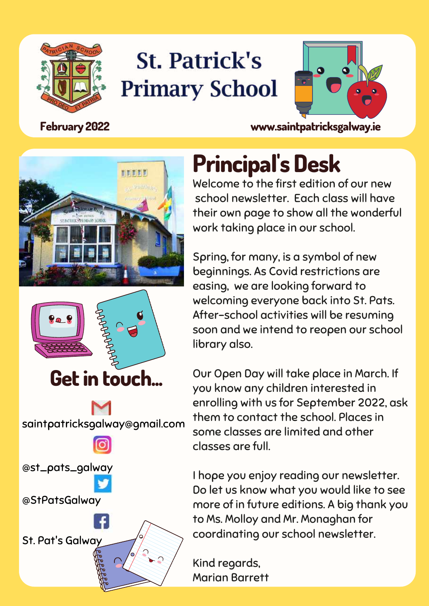

### **St. Patrick's Primary School**



**February 2022 www.saintpatricksgalway.ie**





saintpatricksgalway@gmail.com @st\_pats\_galway @StPatsGalway St. Pat's Galway

### **Principal' s Desk**

Welcome to the first edition of our new school newsletter. Each class will have their own page to show all the wonderful work taking place in our school.

Spring, for many, is a symbol of new beginnings. As Covid restrictions are easing, we are looking forward to welcoming everyone back into St. Pats. After-school activities will be resuming soon and we intend to reopen our school library also.

Our Open Day will take place in March. If you know any children interested in enrolling with us for September 2022, ask them to contact the school. Places in some classes are limited and other classes are full.

I hope you enjoy reading our newsletter. Do let us know what you would like to see more of in future editions. A big thank you to Ms. Molloy and Mr. Monaghan for coordinating our school newsletter.

Kind regards, Marian Barrett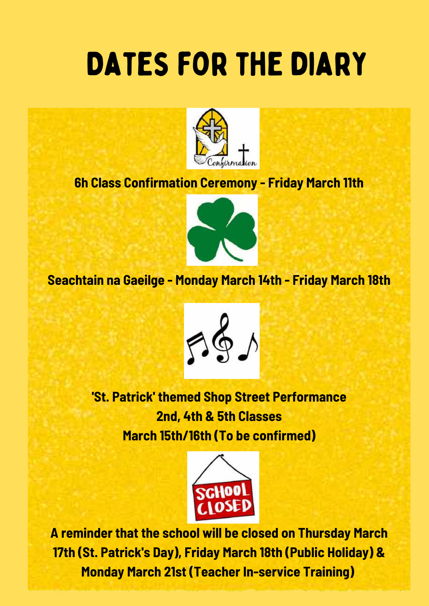### DATES FOR THE DIARY



#### **6h Class Confirmation Ceremony - Friday March 11th**



#### **Seachtain na Gaeilge - Monday March 14th - Friday March 18th**



**'St. Patrick' themed Shop Street Performance 2nd, 4th & 5th Classes March 15th/16th (To be confirmed)**



**A reminder that the school will be closed on Thursday March 17th (St. Patrick's Day), Friday March 18th (Public Holiday) & Monday March 21st (Teacher In-service Training)**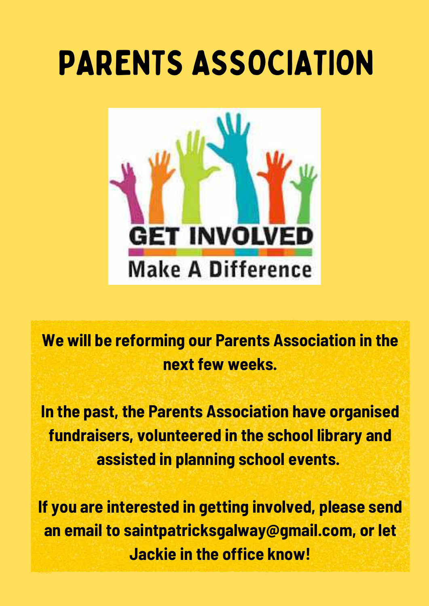## PARENTS ASSOCIATION



**We will be reforming our Parents Association in the next few weeks.**

**In the past, the Parents Association have organised fundraisers, volunteered in the school library and assisted in planning school events.**

**If you are interested in getting involved, please send an email to saintpatricksgalway@gmail.com, or let Jackie in the office know!**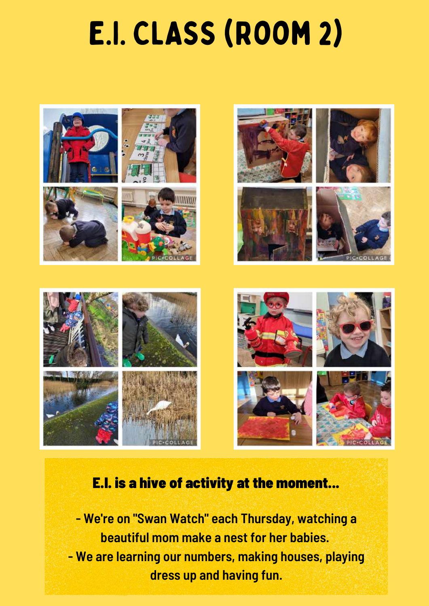### E.I. CLASS (Room 2)



#### E.I. is a hive of activity at the moment...

**- We're on "Swan Watch" each Thursday, watching a beautiful mom make a nest for her babies. - We are learning our numbers, making houses, playing dress up and having fun.**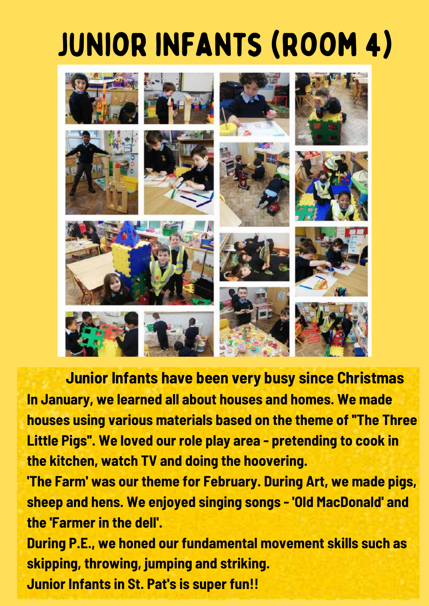# junior infants (room 4)



**Junior Infants have been very busy since Christmas In January, we learned all about houses and homes. We made houses using various materials based on the theme of ''The Three Little Pigs''. We loved our role play area - pretending to cook in the kitchen, watch TV and doing the hoovering.**

**'The Farm' was our theme for February. During Art, we made pigs, sheep and hens. We enjoyed singing songs - 'Old MacDonald' and the 'Farmer in the dell'.**

**During P.E., we honed our fundamental movement skills such as skipping, throwing, jumping and striking.**

**Junior Infants in St. Pat's is super fun!!**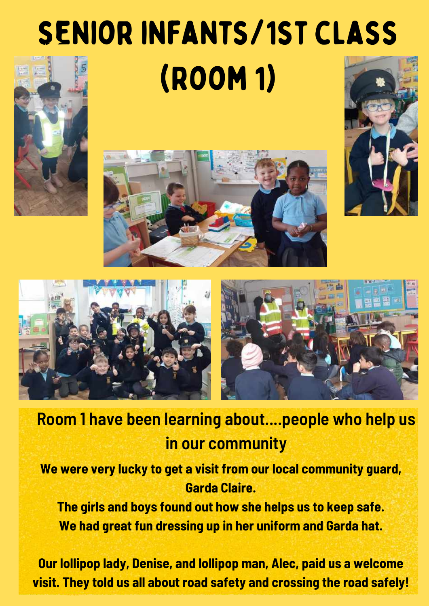# senior infants/1st class (Room 1)











### **Room 1 have been learning about....people who help us in our community**

**We were very lucky to get a visit from our local community guard, Garda Claire.**

**The girls and boys found out how she helps us to keep safe. We had great fun dressing up in her uniform and Garda hat.**

**Our lollipop lady, Denise, and lollipop man, Alec, paid us a welcome visit. They told us all about road safety and crossing the road safely!**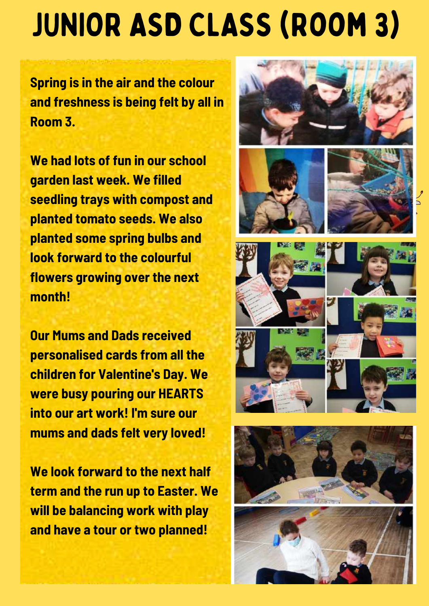# JUNIOR ASD CLASS (Room 3)

**Spring is in the air and the colour and freshness is being felt by all in Room 3.**

**We had lots of fun in our school garden last week. We filled seedling trays with compost and planted tomato seeds. We also planted some spring bulbs and look forward to the colourful flowers growing over the next month!**

**Our Mums and Dads received personalised cards from all the children for Valentine's Day. We were busy pouring our HEARTS into our art work! I'm sure our mums and dads felt very loved!**

**We look forward to the next half term and the run up to Easter. We will be balancing work with play and have a tour or two planned!**









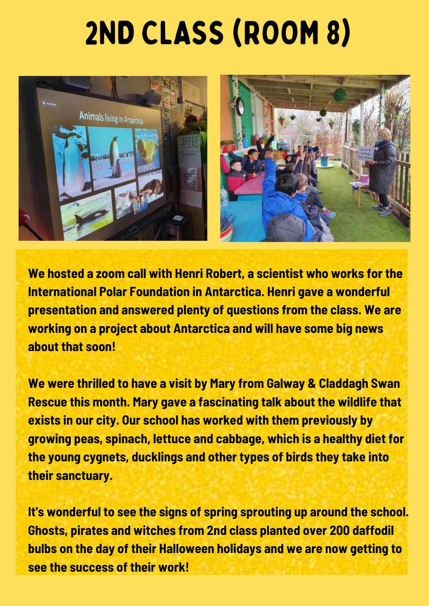### 2ND CLASS (ROOM 8)



**We hosted a zoom call with Henri Robert, a scientist who works for the International Polar Foundation in Antarctica. Henri gave a wonderful presentation and answered plenty of questions from the class. We are working on a project about Antarctica and will have some big news about that soon!**

**We were thrilled to have a visit by Mary from Galway & Claddagh Swan Rescue this month. Mary gave a fascinating talk about the wildlife that exists in our city. Our school has worked with them previously by growing peas, spinach, lettuce and cabbage, which is a healthy diet for the young cygnets, ducklings and other types of birds they take into their sanctuary.**

**It's wonderful to see the signs of spring sprouting up around the school. Ghosts, pirates and witches from 2nd class planted over 200 daffodil bulbs on the day of their Halloween holidays and we are now getting to see the success of their work!**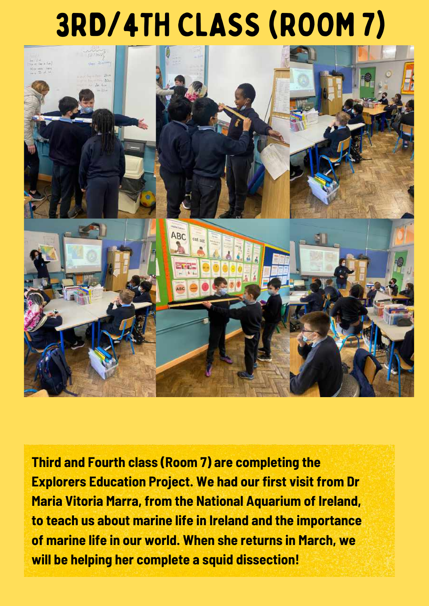## 3RD/4TH CLASS (ROOM 7)



**Third and Fourth class (Room 7) are completing the Explorers Education Project. We had our first visit from Dr Maria Vitoria Marra, from the National Aquarium of Ireland, to teach us about marine life in Ireland and the importance of marine life in our world. When she returns in March, we will be helping her complete a squid dissection!**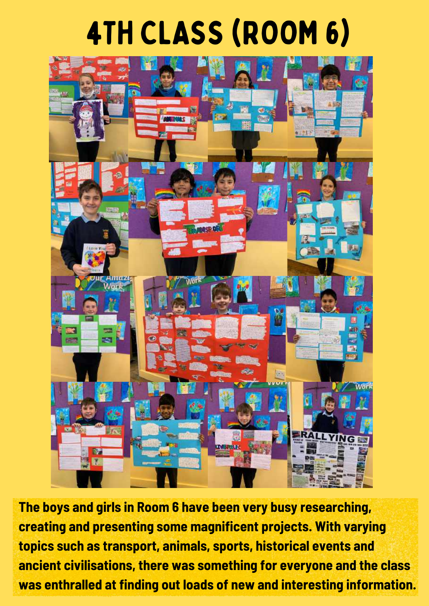### 4TH CLASS (ROOM 6)



**The boys and girls in Room 6 have been very busy researching, creating and presenting some magnificent projects. With varying topics such as transport, animals, sports, historical events and ancient civilisations, there was something for everyone and the class was enthralled at finding out loads of new and interesting information.**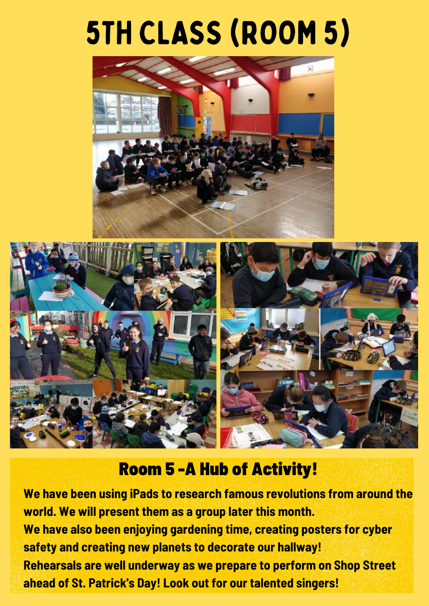### 5TH CLASS (ROOM 5)





#### Room 5 -A Hub of Activity!

**We have been using iPads to research famous revolutions from around the world. We will present them as a group later this month. We have also been enjoying gardening time, creating posters for cyber safety and creating new planets to decorate our hallway! Rehearsals are well underway as we prepare to perform on Shop Street ahead of St. Patrick's Day! Look out for our talented singers!**